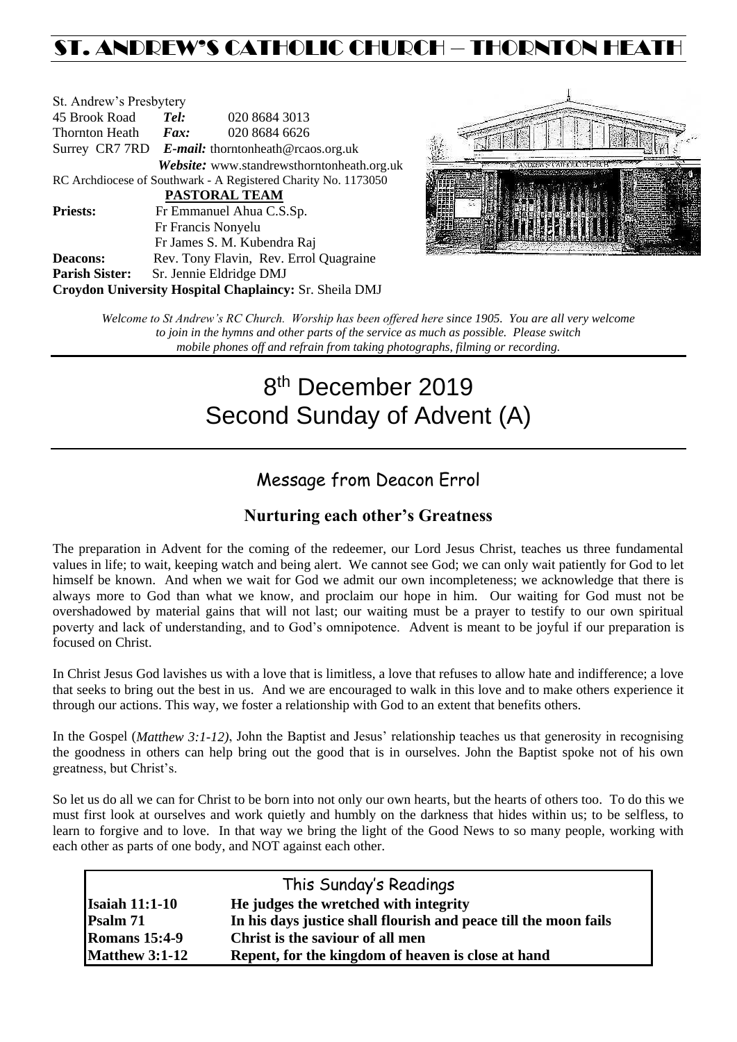# ST. ANDREW'S CATHOLIC CHURCH – THORNTON HEAT

| St. Andrew's Presbytery |                                                   |                                                                |  |  |
|-------------------------|---------------------------------------------------|----------------------------------------------------------------|--|--|
| 45 Brook Road           | Tel:                                              | 020 8684 3013                                                  |  |  |
| Thornton Heath          | $\boldsymbol{Fax:}$                               | 020 8684 6626                                                  |  |  |
|                         | Surrey CR7 7RD E-mail: thorntonheath@rcaos.org.uk |                                                                |  |  |
|                         |                                                   | Website: www.standrewsthorntonheath.org.uk                     |  |  |
|                         |                                                   | RC Archdiocese of Southwark - A Registered Charity No. 1173050 |  |  |
|                         |                                                   | <b>PASTORAL TEAM</b>                                           |  |  |
| <b>Priests:</b>         |                                                   | Fr Emmanuel Ahua C.S.Sp.                                       |  |  |
|                         |                                                   | Fr Francis Nonyelu                                             |  |  |
|                         |                                                   | Fr James S. M. Kubendra Raj                                    |  |  |
| <b>Deacons:</b>         |                                                   | Rev. Tony Flavin, Rev. Errol Quagraine                         |  |  |
| <b>Parish Sister:</b>   |                                                   | Sr. Jennie Eldridge DMJ                                        |  |  |
|                         |                                                   | Croydon University Hospital Chaplaincy: Sr. Sheila DMJ         |  |  |



*Welcome to St Andrew's RC Church. Worship has been offered here since 1905. You are all very welcome to join in the hymns and other parts of the service as much as possible. Please switch mobile phones off and refrain from taking photographs, filming or recording.*

# 8<sup>th</sup> December 2019 Second Sunday of Advent (A)

# Message from Deacon Errol

# **Nurturing each other's Greatness**

The preparation in Advent for the coming of the redeemer, our Lord Jesus Christ, teaches us three fundamental values in life; to wait, keeping watch and being alert. We cannot see God; we can only wait patiently for God to let himself be known. And when we wait for God we admit our own incompleteness; we acknowledge that there is always more to God than what we know, and proclaim our hope in him. Our waiting for God must not be overshadowed by material gains that will not last; our waiting must be a prayer to testify to our own spiritual poverty and lack of understanding, and to God's omnipotence. Advent is meant to be joyful if our preparation is focused on Christ.

In Christ Jesus God lavishes us with a love that is limitless, a love that refuses to allow hate and indifference; a love that seeks to bring out the best in us. And we are encouraged to walk in this love and to make others experience it through our actions. This way, we foster a relationship with God to an extent that benefits others.

In the Gospel (*Matthew 3:1-12)*, John the Baptist and Jesus' relationship teaches us that generosity in recognising the goodness in others can help bring out the good that is in ourselves. John the Baptist spoke not of his own greatness, but Christ's.

So let us do all we can for Christ to be born into not only our own hearts, but the hearts of others too. To do this we must first look at ourselves and work quietly and humbly on the darkness that hides within us; to be selfless, to learn to forgive and to love. In that way we bring the light of the Good News to so many people, working with each other as parts of one body, and NOT against each other.

| This Sunday's Readings |                                                                  |  |  |  |
|------------------------|------------------------------------------------------------------|--|--|--|
| <b>Isaiah 11:1-10</b>  | He judges the wretched with integrity                            |  |  |  |
| Psalm 71               | In his days justice shall flourish and peace till the moon fails |  |  |  |
| <b>Romans 15:4-9</b>   | Christ is the saviour of all men                                 |  |  |  |
| <b>Matthew 3:1-12</b>  | Repent, for the kingdom of heaven is close at hand               |  |  |  |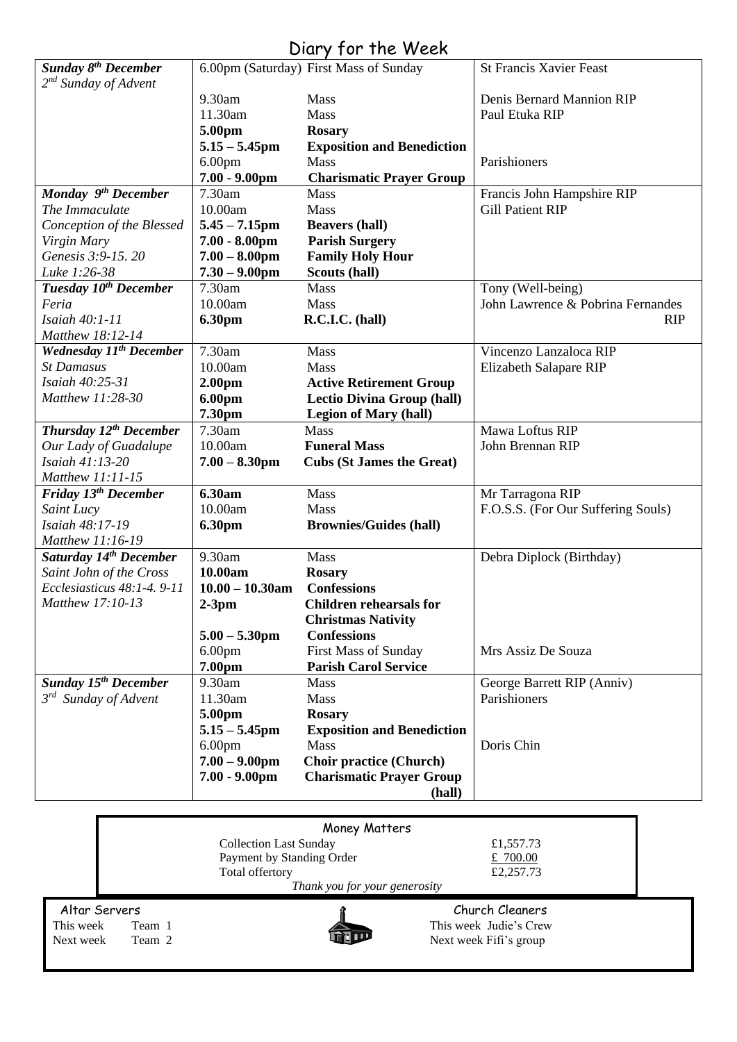# Diary for the Week

| <b>Sunday 8th December</b>         |                              | 6.00pm (Saturday) First Mass of Sunday                     | <b>St Francis Xavier Feast</b>     |
|------------------------------------|------------------------------|------------------------------------------------------------|------------------------------------|
| 2 <sup>nd</sup> Sunday of Advent   |                              |                                                            |                                    |
|                                    | 9.30am                       | Mass                                                       | Denis Bernard Mannion RIP          |
|                                    | 11.30am                      | Mass                                                       | Paul Etuka RIP                     |
|                                    | 5.00pm                       | <b>Rosary</b>                                              |                                    |
|                                    | $5.15 - 5.45$ pm             | <b>Exposition and Benediction</b>                          |                                    |
|                                    | 6.00 <sub>pm</sub>           | <b>Mass</b>                                                | Parishioners                       |
|                                    | $7.00 - 9.00$ pm             | <b>Charismatic Prayer Group</b>                            |                                    |
| Monday 9 <sup>th</sup> December    | 7.30am                       | <b>Mass</b>                                                | Francis John Hampshire RIP         |
| The Immaculate                     | 10.00am                      | Mass                                                       | <b>Gill Patient RIP</b>            |
| Conception of the Blessed          | $5.45 - 7.15$ pm             | <b>Beavers (hall)</b>                                      |                                    |
| Virgin Mary                        | $7.00 - 8.00$ pm             | <b>Parish Surgery</b>                                      |                                    |
| Genesis 3:9-15.20                  | $7.00 - 8.00$ pm             | <b>Family Holy Hour</b>                                    |                                    |
| Luke 1:26-38                       | $7.30 - 9.00$ pm             | Scouts (hall)                                              |                                    |
| Tuesday 10 <sup>th</sup> December  | 7.30am                       | Mass                                                       | Tony (Well-being)                  |
| Feria                              | 10.00am                      | Mass                                                       | John Lawrence & Pobrina Fernandes  |
| Isaiah 40:1-11                     | 6.30pm                       | R.C.I.C. (hall)                                            | <b>RIP</b>                         |
| Matthew 18:12-14                   |                              |                                                            |                                    |
| <b>Wednesday 11th December</b>     | 7.30am                       | Mass                                                       | Vincenzo Lanzaloca RIP             |
| <b>St Damasus</b>                  | 10.00am                      | Mass                                                       | Elizabeth Salapare RIP             |
| Isaiah 40:25-31                    | 2.00 <sub>pm</sub>           | <b>Active Retirement Group</b>                             |                                    |
| Matthew 11:28-30                   | 6.00pm                       | <b>Lectio Divina Group (hall)</b>                          |                                    |
|                                    | 7.30pm                       | <b>Legion of Mary (hall)</b>                               |                                    |
| Thursday 12 <sup>th</sup> December | 7.30am                       | Mass                                                       | Mawa Loftus RIP                    |
| Our Lady of Guadalupe              | 10.00am                      | <b>Funeral Mass</b>                                        | John Brennan RIP                   |
| Isaiah 41:13-20                    | $7.00 - 8.30$ pm             | <b>Cubs (St James the Great)</b>                           |                                    |
| Matthew 11:11-15                   |                              |                                                            |                                    |
| Friday 13 <sup>th</sup> December   | 6.30am                       | Mass                                                       | Mr Tarragona RIP                   |
| Saint Lucy                         | 10.00am                      | Mass                                                       | F.O.S.S. (For Our Suffering Souls) |
| Isaiah 48:17-19                    | 6.30pm                       | <b>Brownies/Guides (hall)</b>                              |                                    |
| Matthew 11:16-19                   |                              |                                                            |                                    |
| Saturday 14th December             | 9.30am                       | Mass                                                       | Debra Diplock (Birthday)           |
| Saint John of the Cross            | 10.00am                      | <b>Rosary</b>                                              |                                    |
| Ecclesiasticus 48:1-4.9-11         | $10.00 - 10.30$ am           | <b>Confessions</b>                                         |                                    |
| Matthew 17:10-13                   | $2-3pm$                      | <b>Children rehearsals for</b>                             |                                    |
|                                    | $5.00 - 5.30$ pm             | <b>Christmas Nativity</b><br><b>Confessions</b>            |                                    |
|                                    |                              |                                                            | Mrs Assiz De Souza                 |
|                                    | 6.00 <sub>pm</sub><br>7.00pm | <b>First Mass of Sunday</b><br><b>Parish Carol Service</b> |                                    |
| <b>Sunday 15th December</b>        | 9.30am                       | Mass                                                       | George Barrett RIP (Anniv)         |
| $3^{rd}$ Sunday of Advent          | 11.30am                      | <b>Mass</b>                                                | Parishioners                       |
|                                    | 5.00pm                       | <b>Rosary</b>                                              |                                    |
|                                    | $5.15 - 5.45$ pm             | <b>Exposition and Benediction</b>                          |                                    |
|                                    | 6.00 <sub>pm</sub>           | <b>Mass</b>                                                | Doris Chin                         |
|                                    | $7.00 - 9.00$ pm             | <b>Choir practice (Church)</b>                             |                                    |
|                                    | $7.00 - 9.00$ pm             | <b>Charismatic Prayer Group</b>                            |                                    |
|                                    |                              | (hall)                                                     |                                    |
|                                    |                              |                                                            |                                    |
|                                    |                              |                                                            |                                    |

| Money Matters                 |                               |                        |  |  |  |
|-------------------------------|-------------------------------|------------------------|--|--|--|
|                               | <b>Collection Last Sunday</b> | £1,557.73              |  |  |  |
|                               | Payment by Standing Order     | £ $700.00$             |  |  |  |
| Total offertory               |                               | £2,257.73              |  |  |  |
| Thank you for your generosity |                               |                        |  |  |  |
| Altar Servers                 |                               | Church Cleaners        |  |  |  |
| This week<br>Team 1           |                               | This week Judie's Crew |  |  |  |
| Next week<br>Team 2           |                               | Next week Fifi's group |  |  |  |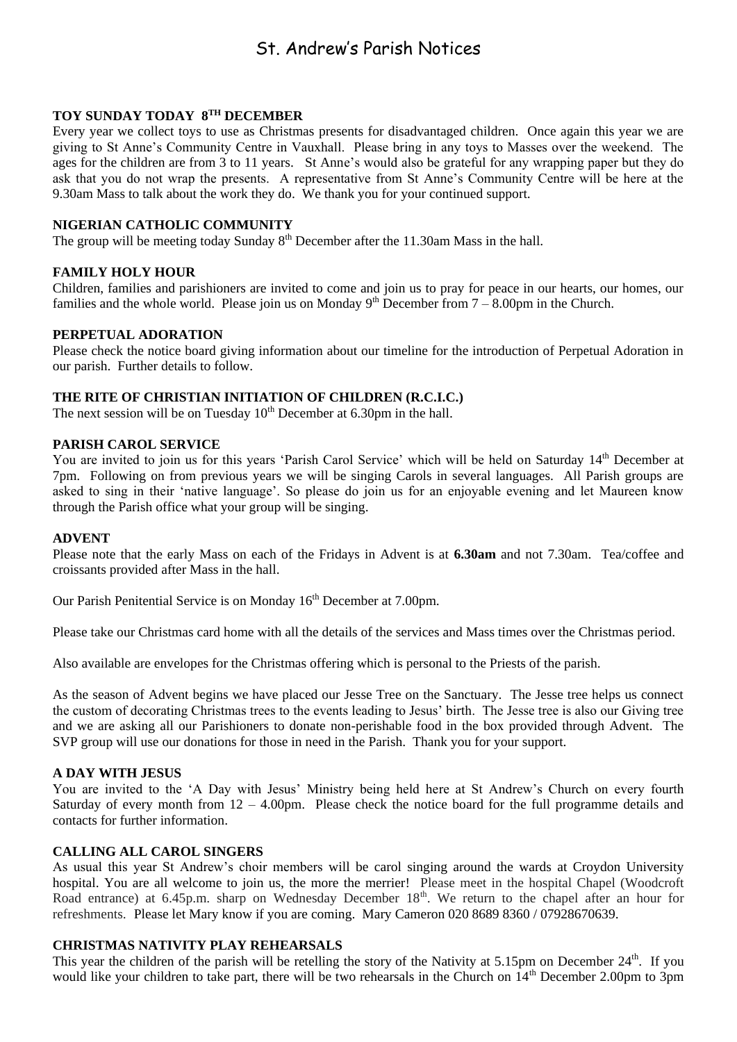# St. Andrew's Parish Notices

# **TOY SUNDAY TODAY 8TH DECEMBER**

Every year we collect toys to use as Christmas presents for disadvantaged children. Once again this year we are giving to St Anne's Community Centre in Vauxhall. Please bring in any toys to Masses over the weekend. The ages for the children are from 3 to 11 years. St Anne's would also be grateful for any wrapping paper but they do ask that you do not wrap the presents. A representative from St Anne's Community Centre will be here at the 9.30am Mass to talk about the work they do. We thank you for your continued support.

# **NIGERIAN CATHOLIC COMMUNITY**

The group will be meeting today Sunday  $8<sup>th</sup>$  December after the 11.30am Mass in the hall.

# **FAMILY HOLY HOUR**

Children, families and parishioners are invited to come and join us to pray for peace in our hearts, our homes, our families and the whole world. Please join us on Monday  $9<sup>th</sup>$  December from  $7 - 8.00$ pm in the Church.

# **PERPETUAL ADORATION**

Please check the notice board giving information about our timeline for the introduction of Perpetual Adoration in our parish. Further details to follow.

# **THE RITE OF CHRISTIAN INITIATION OF CHILDREN (R.C.I.C.)**

The next session will be on Tuesday  $10^{th}$  December at 6.30pm in the hall.

# **PARISH CAROL SERVICE**

You are invited to join us for this years 'Parish Carol Service' which will be held on Saturday 14<sup>th</sup> December at 7pm. Following on from previous years we will be singing Carols in several languages. All Parish groups are asked to sing in their 'native language'. So please do join us for an enjoyable evening and let Maureen know through the Parish office what your group will be singing.

#### **ADVENT**

Please note that the early Mass on each of the Fridays in Advent is at **6.30am** and not 7.30am. Tea/coffee and croissants provided after Mass in the hall.

Our Parish Penitential Service is on Monday 16<sup>th</sup> December at 7.00pm.

Please take our Christmas card home with all the details of the services and Mass times over the Christmas period.

Also available are envelopes for the Christmas offering which is personal to the Priests of the parish.

As the season of Advent begins we have placed our Jesse Tree on the Sanctuary. The Jesse tree helps us connect the custom of decorating Christmas trees to the events leading to Jesus' birth. The Jesse tree is also our Giving tree and we are asking all our Parishioners to donate non-perishable food in the box provided through Advent. The SVP group will use our donations for those in need in the Parish. Thank you for your support.

# **A DAY WITH JESUS**

You are invited to the 'A Day with Jesus' Ministry being held here at St Andrew's Church on every fourth Saturday of every month from  $12 - 4.00$ pm. Please check the notice board for the full programme details and contacts for further information.

# **CALLING ALL CAROL SINGERS**

As usual this year St Andrew's choir members will be carol singing around the wards at Croydon University hospital. You are all welcome to join us, the more the merrier! Please meet in the hospital Chapel (Woodcroft Road entrance) at 6.45p.m. sharp on Wednesday December 18<sup>th</sup>. We return to the chapel after an hour for refreshments. Please let Mary know if you are coming. Mary Cameron 020 8689 8360 / 07928670639.

# **CHRISTMAS NATIVITY PLAY REHEARSALS**

This year the children of the parish will be retelling the story of the Nativity at 5.15pm on December  $24<sup>th</sup>$ . If you would like your children to take part, there will be two rehearsals in the Church on 14<sup>th</sup> December 2.00pm to 3pm